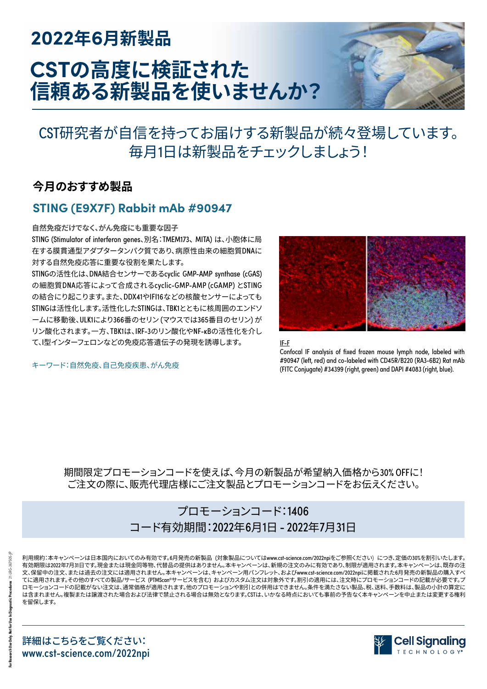# **2022年6月新製品 CSTの高度に検証された 信頼ある新製品を使いませんか?**



## CST研究者が自信を持ってお届けする新製品が続々登場しています。 毎月1日は新製品をチェックしましょう!

## **今月のおすすめ製品**

### **STING (E9X7F) Rabbit mAb #90947**

#### **自然免疫だけでなく、がん免疫にも重要な因子**

STING (Stimulator of interferon genes、別名:TMEM173、 MITA) は、小胞体に局 在する膜貫通型アダプタータンパク質であり、病原性由来の細胞質DNAに 対する自然免疫応答に重要な役割を果たします。

STINGの活性化は、DNA結合センサーであるcyclic GMP-AMP synthase (cGAS) の細胞質DNA応答によって合成されるcyclic-GMP-AMP (cGAMP) とSTING の結合にり起こります。また、DDX41やIFI16などの核酸センサーによっても STINGは活性化します。活性化したSTINGは、TBK1とともに核周囲のエンドソ ームに移動後、ULK1により366番のセリン (マウスでは365番目のセリン) が リン酸化されます。一方、TBK1は、IRF-3のリン酸化やNF-κBの活性化を介し て、I型インターフェロンなどの免疫応答遺伝子の発現を誘導します。

キーワード:自然免疫、自己免疫疾患、がん免疫



IF-F

Confocal IF analysis of fixed frozen mouse lymph node, labeled with #90947 (left, red) and co-labeled with CD45R/B220 (RA3-6B2) Rat mAb (FITC Conjugate) #34399 (right, green) and DAPI #4083 (right, blue).

期間限定プロモーションコードを使えば、今月の新製品が希望納入価格から30% OFFに! ご注文の際に、販売代理店様にご注文製品とプロモーションコードをお伝えください。

### プロモーションコード:1406 コード有効期間:2022年6月1日 - 2022年7月31日

詳細はこちらをご覧ください: www.cst-science.com/2022npi を留保します。

利用規約:本キャンペーンは日本国内においてのみ有効です。6月発売の新製品 (対象製品についてはwww.cst-science.com/2022npiをご参照ください) につき、定価の30%を割引いたします。 有効期限は2022年7月31日です。現金または現金同等物、代替品の提供はありません。本キャンペーンは、新規の注文のみに有効であり、制限が適用されます。本キャンペーンは、既存の注 文、保留中の注文、または過去の注文には適用されません。本キャンペーンは、キャンペーン用パンフレット、およびwww.cst-science.com/2022npiに掲載された6月発売の新製品の購入すべ てに適用されます。その他のすべての製品/サービス (PTMScan®サービスを含む) およびカスタム注文は対象外です。割引の適用には、注文時にプロモーションコードの記載が必要です。ブ ロモーションコードの記載がない注文は、通常価格が適用されます。他のプロモーションや割引との併用はできません。条件を満たさない製品、税、送料、手数料は、製品の小計の算定に は含まれません。複製または譲渡された場合および法律で禁止される場合は無効となります。CSTは、いかなる時点においても事前の予告なく本キャンペーンを中止または変更する権利

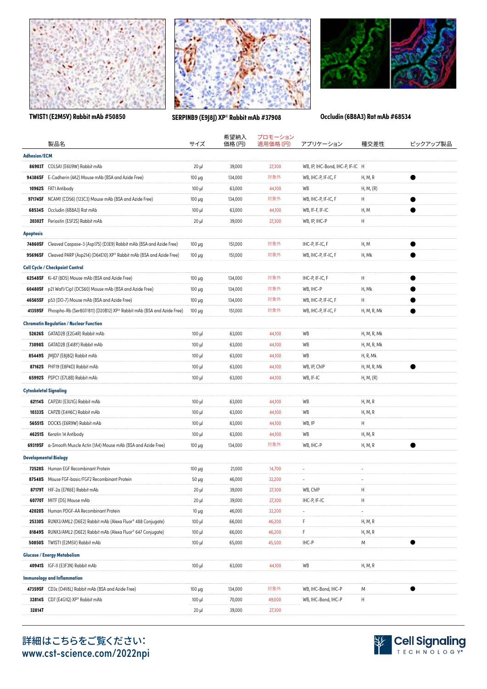





**TWIST1 (E2M5V) Rabbit mAb #50850 SERPINB9 (E9J8J) XP® Rabbit mAb #37908 Occludin (6B8A3) Rat mAb #68534**

|                                    | 製品名                                                                          | サイズ         | 希望納入<br>価格(円) | プロモーション<br>適用価格(円) | アプリケーション                         | 種交差性                     | ピックアップ製品  |
|------------------------------------|------------------------------------------------------------------------------|-------------|---------------|--------------------|----------------------------------|--------------------------|-----------|
| <b>Adhesion/ECM</b>                |                                                                              |             |               |                    |                                  |                          |           |
|                                    | 86903T COL5A1 (E6U9W) Rabbit mAb                                             | $20 \mu$    | 39,000        | 27,300             | WB, IP, IHC-Bond, IHC-P, IF-IC H |                          |           |
|                                    | 94386SF E-Cadherin (4A2) Mouse mAb (BSA and Azide Free)                      | $100 \mu g$ | 134,000       | 対象外                | WB, IHC-P, IF-IC, F              | H, M, R                  |           |
|                                    | 10962S FAT1 Antibody                                                         | $100 \mu$   | 63,000        | 44,100             | WB                               | H, M, (R)                |           |
|                                    | 97174SF NCAM1 (CD56) (123C3) Mouse mAb (BSA and Azide Free)                  | $100 \mu g$ | 134,000       | 対象外                | WB, IHC-P, IF-IC, F              | Н                        | ●         |
| 68534S                             | Occludin (6B8A3) Rat mAb                                                     | $100 \mu$   | 63,000        | 44,100             | WB, IF-F, IF-IC                  | H, M                     |           |
|                                    | 20302T Periostin (E5F2S) Rabbit mAb                                          | $20 \mu$    | 39,000        | 27,300             | WB, IP, IHC-P                    | Н                        |           |
| <b>Apoptosis</b>                   |                                                                              |             |               |                    |                                  |                          |           |
|                                    | 74860SF Cleaved Caspase-3 (Asp175) (D3E9) Rabbit mAb (BSA and Azide Free)    | $100 \mu g$ | 151,000       | 対象外                | IHC-P, IF-IC, F                  | H, M                     |           |
|                                    | 95696SF Cleaved PARP (Asp214) (D64E10) XP® Rabbit mAb (BSA and Azide Free)   | $100 \mu g$ | 151,000       | 対象外                | WB, IHC-P, IF-IC, F              | H, Mk                    |           |
|                                    | <b>Cell Cycle / Checkpoint Control</b>                                       |             |               |                    |                                  |                          |           |
|                                    | 62548SF Ki-67 (8D5) Mouse mAb (BSA and Azide Free)                           | $100 \mu g$ | 134,000       | 対象外                | IHC-P, IF-IC, F                  | Н                        |           |
| 60480SF                            | p21 Waf1/Cip1 (DCS60) Mouse mAb (BSA and Azide Free)                         | $100 \mu g$ | 134,000       | 対象外                | WB, IHC-P                        | H, Mk                    |           |
| 46565SF                            | p53 (DO-7) Mouse mAb (BSA and Azide Free)                                    | $100 \mu g$ | 134,000       | 対象外                | WB, IHC-P, IF-IC, F              | Н                        |           |
|                                    | 41359SF Phospho-Rb (Ser807/811) (D20B12) XP® Rabbit mAb (BSA and Azide Free) | $100 \mu g$ | 151,000       | 対象外                | WB, IHC-P, IF-IC, F              | H, M, R, Mk              |           |
|                                    | <b>Chromatin Regulation / Nuclear Function</b>                               |             |               |                    |                                  |                          |           |
|                                    | 52626S GATAD2B (E2G4R) Rabbit mAb                                            | $100 \mu$   | 63,000        | 44,100             | WB                               | H, M, R, Mk              |           |
|                                    | 73098S GATAD2B (E4I8Y) Rabbit mAb                                            | $100 \mu$   | 63,000        | 44,100             | WB                               | H, M, R, Mk              |           |
|                                    | 85449S JMJD7 (E8J8Q) Rabbit mAb                                              | $100 \mu$   | 63,000        | 44,100             | WB                               | H, R, Mk                 |           |
|                                    | 87162S PHF19 (E8P4D) Rabbit mAb                                              | $100 \mu$   | 63,000        | 44,100             | WB, IP, ChIP                     | H, M, R, Mk              |           |
|                                    | 65992S PSPC1 (E7L8B) Rabbit mAb                                              | $100 \mu$   | 63,000        | 44,100             | WB, IF-IC                        | H, M, (R)                |           |
|                                    | <b>Cytoskeletal Signaling</b>                                                |             |               |                    |                                  |                          |           |
|                                    | 62114S CAPZA1 (E3U1G) Rabbit mAb                                             | $100 \mu$   | 63,000        | 44,100             | WB                               | H, M, R                  |           |
|                                    | 10333S CAPZB (E4H6C) Rabbit mAb                                              | $100 \mu$   | 63,000        | 44,100             | WB                               | H, M, R                  |           |
|                                    | 56551S DOCK5 (E6R9W) Rabbit mAb                                              | $100 \mu$   | 63,000        | 44,100             | WB, IP                           | н                        |           |
|                                    | 46251S Keratin 14 Antibody                                                   | $100 \mu$   | 63,000        | 44,100             | WB                               | H, M, R                  |           |
|                                    | 69319SF a-Smooth Muscle Actin (1A4) Mouse mAb (BSA and Azide Free)           | $100 \mu g$ | 134,000       | 対象外                | WB, IHC-P                        | H, M, R                  |           |
|                                    | <b>Developmental Biology</b>                                                 |             |               |                    |                                  |                          |           |
|                                    | 72528S Human EGF Recombinant Protein                                         | $100 \mu g$ | 21,000        | 14,700             | $\overline{\phantom{a}}$         | $\overline{\phantom{a}}$ |           |
|                                    | 87548S Mouse FGF-basic/FGF2 Recombinant Protein                              | $50 \mu g$  | 46,000        | 32,200             | $\overline{\phantom{a}}$         |                          |           |
|                                    | 87179T HIF-2a (E7K6E) Rabbit mAb                                             | $20 \mu$    | 39,000        | 27,300             | WB, ChIP                         | Н                        |           |
|                                    | 60770T MITF (D5) Mouse mAb                                                   | $20 \mu$    | 39,000        | 27,300             | IHC-P, IF-IC                     | Н                        |           |
|                                    | 42028S Human PDGF-AA Recombinant Protein                                     | $10 \mu g$  | 46,000        | 32,200             |                                  |                          |           |
|                                    | 25330S RUNX3/AML2 (D6E2) Rabbit mAb (Alexa Fluor® 488 Conjugate)             | $100 \mu$   | 66,000        | 46,200             | F                                | H, M, R                  |           |
| 81849S                             | RUNX3/AML2 (D6E2) Rabbit mAb (Alexa Fluor® 647 Conjugate)                    | $100 \mu$   | 66,000        | 46,200             | F                                | H, M, R                  |           |
|                                    | 50850S TWIST1 (E2M5V) Rabbit mAb                                             | $100 \mu$   | 65,000        | 45,500             | IHC-P                            | Μ                        | $\bullet$ |
|                                    | <b>Glucose / Energy Metabolism</b>                                           |             |               |                    |                                  |                          |           |
|                                    | 40941S IGF-II (E3F3N) Rabbit mAb                                             | $100 \mu$   | 63,000        | 44,100             | WB                               | H, M, R                  |           |
| <b>Immunology and Inflammation</b> |                                                                              |             |               |                    |                                  |                          |           |
|                                    | 47359SF CD3 $\varepsilon$ (D4V8L) Rabbit mAb (BSA and Azide Free)            | $100 \mu g$ | 134,000       | 対象外                | WB, IHC-Bond, IHC-P              | Μ                        |           |
|                                    | 32814S CD7 (E4G1Q) XP® Rabbit mAb                                            | $100 \mu$   | 70,000        | 49,000             | WB, IHC-Bond, IHC-P              | Н                        |           |
| 32814T                             |                                                                              | $20 \mu$    | 39,000        | 27,300             |                                  |                          |           |
|                                    |                                                                              |             |               |                    |                                  |                          |           |



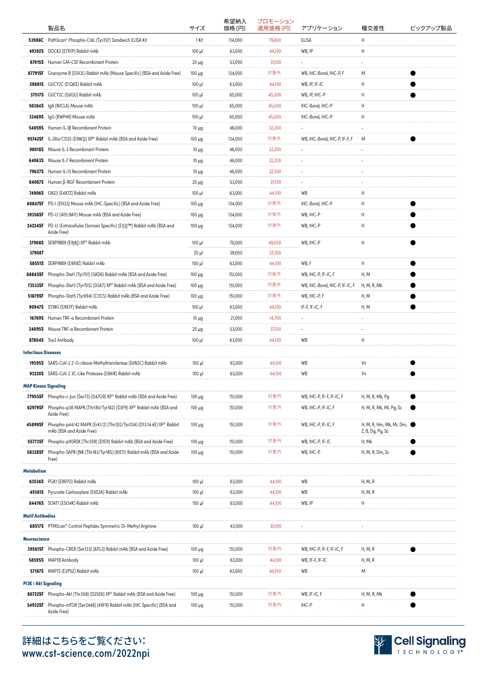|                             | 製品名                                                                                             | サイズ         | 希望納入<br>価格 (円) | プロモーション<br>適用価格(円) | アプリケーション                      | 種交差性                      | ピックアップ製品       |
|-----------------------------|-------------------------------------------------------------------------------------------------|-------------|----------------|--------------------|-------------------------------|---------------------------|----------------|
| 53986C                      | PathScan® Phospho-CrkL (Tyr207) Sandwich ELISA Kit                                              | 1 Kit       | 114,000        | 79,800             | ELISA                         | Н                         |                |
| 49392S                      | DOCK2 (E7X1P) Rabbit mAb                                                                        | $100 \mu$   | 63,000         | 44,100             | WB, IP                        | Η                         |                |
| 87015S                      | Human GM-CSF Recombinant Protein                                                                | $20 \mu g$  | 53,000         | 37,100             |                               |                           |                |
| 87791SF                     | Granzyme B (E5V2L) Rabbit mAb (Mouse Specific) (BSA and Azide Free)                             | $100 \mu g$ | 134,000        | 対象外                | WB, IHC-Bond, IHC-P, F        | M                         |                |
| 29881S                      | GUCY2C (E1Q6S) Rabbit mAb                                                                       | $100 \mu$   | 63,000         | 44,100             | WB, IP, IF-IC                 | Н                         |                |
| 37517S                      | GUCY2C (E6I2U) Rabbit mAb                                                                       | $100 \mu$   | 65,000         | 45,500             | WB, IP, IHC-P                 | Н                         |                |
| 50384S                      | IgA (N1CLA) Mouse mAb                                                                           | $100 \mu$   | 65,000         | 45,500             | IHC-Bond, IHC-P               | Н                         |                |
| 33469S                      | IgG (RWP49) Mouse mAb                                                                           | $100 \mu$   | 65,000         | 45,500             | IHC-Bond, IHC-P               | Η                         |                |
| 54059S                      | Human IL-1ß Recombinant Protein                                                                 | $10 \mu g$  | 46,000         | 32,200             | ÷.                            | ٠                         |                |
|                             | 95742SF IL-2Ra/CD25 (E9W2J) XP® Rabbit mAb (BSA and Azide Free)                                 | $100 \mu g$ | 134,000        | 対象外                | WB, IHC-Bond, IHC-P, IF-F, F  | M                         |                |
| <b>98018S</b>               | Mouse IL-3 Recombinant Protein                                                                  | $10 \mu g$  | 46,000         | 32,200             | ٠                             |                           |                |
| 64063S                      | Mouse IL-7 Recombinant Protein                                                                  | $10 \mu g$  | 46,000         | 32,200             | $\overline{\phantom{a}}$      |                           |                |
| 79627S                      | Human IL-13 Recombinant Protein                                                                 | $10 \mu g$  | 46,000         | 32,200             |                               |                           |                |
| 84087S                      | Human β-NGF Recombinant Protein                                                                 | $20 \mu g$  | 53,000         | 37,100             | ٠                             |                           |                |
| 74906S                      | OAS3 (E4X7Z) Rabbit mAb                                                                         | $100 \mu$   | 63,000         | 44,100             | WB                            | H                         |                |
|                             | 60847SF PD-1 (EH33) Mouse mAb (IHC-Specific) (BSA and Azide Free)                               | $100 \mu g$ | 134,000        | 対象外                | IHC-Bond, IHC-P               | Н                         |                |
|                             | 39356SF PD-L1 (405.9A11) Mouse mAb (BSA and Azide Free)                                         | $100 \mu g$ | 134,000        | 対象外                | WB, IHC-P                     | Н                         |                |
|                             | 24224SF PD-L1 (Extracellular Domain Specific) (E1J2J™) Rabbit mAb (BSA and<br>Azide Free)       | $100 \mu g$ | 134,000        | 対象外                | WB, IHC-P                     | Н                         |                |
|                             | 37908S SERPINB9 (E9J8J) XP® Rabbit mAb                                                          | $100 \mu$   | 70,000         | 49,000             | WB, IHC-P                     | Н                         |                |
| 37908T                      |                                                                                                 | $20 \mu$    | 39,000         | 27,300             |                               |                           |                |
| 58551S                      | SERPINB9 (E9X9Z) Rabbit mAb                                                                     | $100 \mu$   | 63,000         | 44,100             | WB, F                         | Н                         |                |
| 88845SF                     | Phospho-Stat1 (Tyr701) (58D6) Rabbit mAb (BSA and Azide Free)                                   | $100 \mu g$ | 151,000        | 対象外                | WB, IHC-P, IF-IC, F           | H, M                      |                |
| 73533SF                     | Phospho-Stat3 (Tyr705) (D3A7) XP® Rabbit mAb (BSA and Azide Free)                               | $100 \mu g$ | 151,000        | 対象外                | WB, IHC-Bond, IHC-P, IF-IC, F | H, M, R, Mk               |                |
| 51879SF                     | Phospho-Stat5 (Tyr694) (C11C5) Rabbit mAb (BSA and Azide Free)                                  | $100 \mu g$ | 151,000        | 対象外                | WB, IHC-P, F                  | H, M                      |                |
| 90947S                      | STING (E9X7F) Rabbit mAb                                                                        | $100 \mu$   | 63,000         | 44,100             | IF-F, IF-IC, F                | H, M                      |                |
| 16769S                      | Human TNF-a Recombinant Protein                                                                 | $10 \mu g$  | 21,000         | 14,700             | ٠                             |                           |                |
|                             | 24095S Mouse TNF-a Recombinant Protein                                                          | $20 \mu g$  | 53,000         | 37,100             | $\overline{\phantom{a}}$      |                           |                |
|                             | 87804S Tox3 Antibody                                                                            | $100 \mu$   | 63,000         | 44,100             | WB                            | Η                         |                |
| <b>Infectious Diseases</b>  |                                                                                                 |             |                |                    |                               |                           |                |
|                             | 19595S SARS-CoV-2 2'-O-ribose Methyltransferase (E6N2C) Rabbit mAb                              | $100 \mu$   | 63,000         | 44,100             | WB                            | Vir                       |                |
|                             | 93220S SARS-CoV-2 3C-Like Protease (E9A1K) Rabbit mAb                                           | $100 \mu$   | 63,000         | 44,100             | WB                            | Vir                       |                |
| <b>MAP Kinase Signaling</b> |                                                                                                 |             |                |                    |                               |                           |                |
|                             | 77955SF Phospho-c-Jun (Ser73) (D47G9) XP® Rabbit mAb (BSA and Azide Free)                       | $100 \mu g$ | 151,000        | 対象外                | WB, IHC-P, IF-F, IF-IC, F     | H, M, R, Mk, Pg           |                |
| 62979SF                     | Phospho-p38 MAPK (Thr180/Tyr182) (D3F9) XP® Rabbit mAb (BSA and<br>Azide Free)                  | $100 \mu g$ | 151,000        | 対象外                | WB, IHC-P, IF-IC, F           | H, M, R, Mk, Mi, Pg, Sc   | $\blacksquare$ |
| 45899SF                     | Phospho-p44/42 MAPK (Erk1/2) (Thr202/Tyr204) (D13.14.4E) XP® Rabbit<br>mAb (BSA and Azide Free) | $100 \mu g$ | 151,000        | 対象外                | WB, IHC-P, IF-IC, F           | H, M, R, Hm, Mk, Mi, Dm,  |                |
| 55773SF                     | Phospho-p90RSK (Thr359) (D1E9) Rabbit mAb (BSA and Azide Free)                                  | $100 \mu g$ | 151,000        | 対象外                | WB, IHC-P, IF-IC              | Z, B, Dg, Pg, Sc<br>H, Mk |                |
| 58328SF                     | Phospho-SAPK/JNK (Thr183/Tyr185) (81E11) Rabbit mAb (BSA and Azide                              | $100 \mu g$ | 151,000        | 対象外                | WB, IHC-P                     | H, M, R, Dm, Sc           |                |
|                             | Free)                                                                                           |             |                |                    |                               |                           |                |
| <b>Metabolism</b>           |                                                                                                 |             |                |                    |                               |                           |                |
|                             | 63536S PGK1 (E9R7O) Rabbit mAb                                                                  | $100 \mu$   | 63,000         | 44,100             | WB                            | H, M, R                   |                |
| 49381S                      | Pyruvate Carboxylase (E6S3A) Rabbit mAb                                                         | $100 \mu$   | 63,000         | 44,100             | WB                            | H, M, R                   |                |
|                             | 84476S SOAT1 (E5O4K) Rabbit mAb                                                                 | $100 \mu$   | 63,000         | 44,100             | WB, IP                        | Н                         |                |
| <b>Motif Antibodies</b>     |                                                                                                 |             |                |                    |                               |                           |                |
|                             | 68517S PTMScan® Control Peptides Symmetric Di-Methyl Arginine                                   | $100 \mu$   | 43,000         | 30,100             | $\overline{\phantom{a}}$      | ÷,                        |                |
| <b>Neuroscience</b>         |                                                                                                 |             |                |                    |                               |                           |                |
| 39561SF                     | Phospho-CREB (Ser133) (87G3) Rabbit mAb (BSA and Azide Free)                                    | $100 \mu g$ | 151,000        | 対象外                | WB, IHC-P, IF-F, IF-IC, F     | H, M, R                   |                |
| 58595\$                     | MAP1B Antibody                                                                                  | $100 \mu$   | 63,000         | 44,100             | WB, IF-F, IF-IC               | H, M, R                   |                |
|                             | 57187S MAP1S (E3P5Z) Rabbit mAb                                                                 | $100 \mu$   | 63,000         | 44,100             | WB                            | Μ                         |                |
| <b>PI3K / Akt Signaling</b> |                                                                                                 |             |                |                    |                               |                           |                |
|                             | 80722SF Phospho-Akt (Thr308) (D25E6) XP® Rabbit mAb (BSA and Azide Free)                        | $100 \mu g$ | 151,000        | 対象外                | WB, IF-IC, F                  | H, M, R, Mk               |                |
| 54932SF                     | Phospho-mTOR (Ser2448) (49F9) Rabbit mAb (IHC Specific) (BSA and<br>Azide Free)                 | $100 \mu g$ | 151,000        | 対象外                | IHC-P                         | Н                         |                |